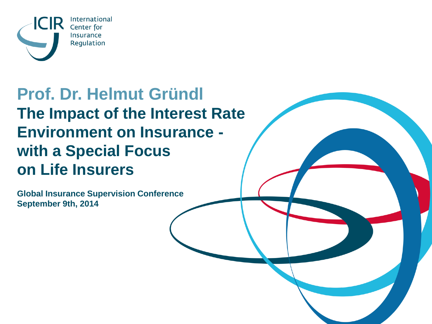

### **Prof. Dr. Helmut Gründl The Impact of the Interest Rate Environment on Insurance with a Special Focus on Life Insurers**

**Global Insurance Supervision Conference September 9th, 2014**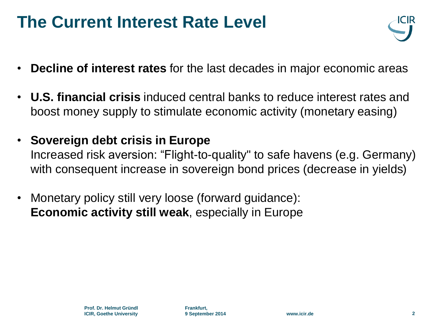### **The Current Interest Rate Level**



- **Decline of interest rates** for the last decades in major economic areas
- **U.S. financial crisis** induced central banks to reduce interest rates and boost money supply to stimulate economic activity (monetary easing)
- **Sovereign debt crisis in Europe**  Increased risk aversion: "Flight-to-quality" to safe havens (e.g. Germany) with consequent increase in sovereign bond prices (decrease in yields)
- Monetary policy still very loose (forward guidance): **Economic activity still weak**, especially in Europe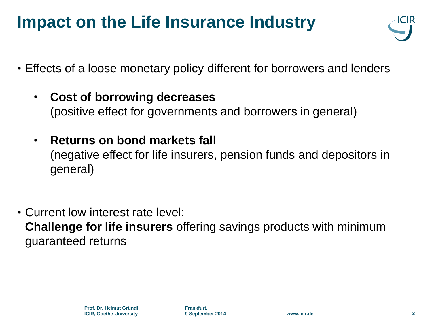### **Impact on the Life Insurance Industry**



- Effects of a loose monetary policy different for borrowers and lenders
	- **Cost of borrowing decreases** (positive effect for governments and borrowers in general)
	- **Returns on bond markets fall**  (negative effect for life insurers, pension funds and depositors in general)
- Current low interest rate level: **Challenge for life insurers** offering savings products with minimum guaranteed returns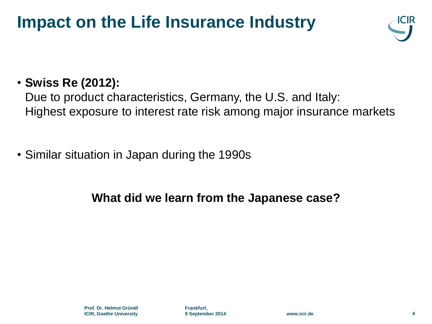### **Impact on the Life Insurance Industry**



#### • **Swiss Re (2012):**

Due to product characteristics, Germany, the U.S. and Italy: Highest exposure to interest rate risk among major insurance markets

• Similar situation in Japan during the 1990s

#### **What did we learn from the Japanese case?**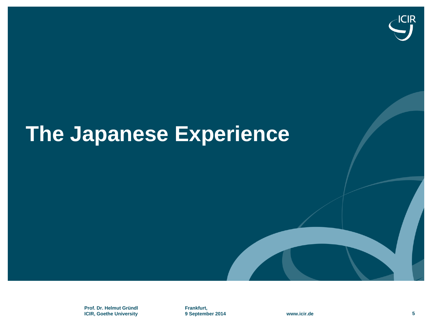

**Prof. Dr. Helmut Gründl ICIR, Goethe University**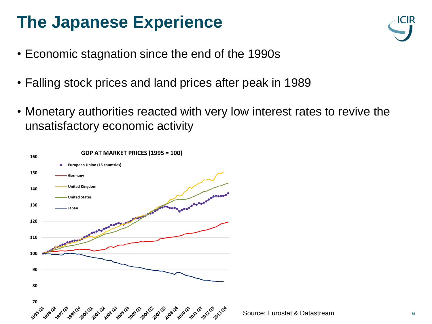- Economic stagnation since the end of the 1990s
- Falling stock prices and land prices after peak in 1989
- Monetary authorities reacted with very low interest rates to revive the unsatisfactory economic activity

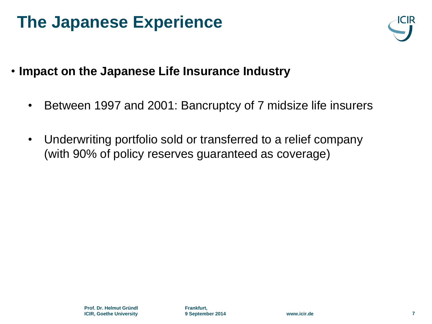

- **Impact on the Japanese Life Insurance Industry**
	- Between 1997 and 2001: Bancruptcy of 7 midsize life insurers
	- Underwriting portfolio sold or transferred to a relief company (with 90% of policy reserves guaranteed as coverage)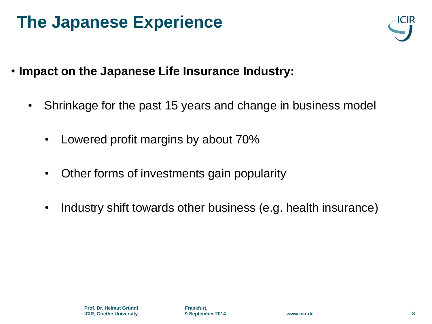

- **Impact on the Japanese Life Insurance Industry:**
	- Shrinkage for the past 15 years and change in business model
		- Lowered profit margins by about 70%
		- Other forms of investments gain popularity
		- Industry shift towards other business (e.g. health insurance)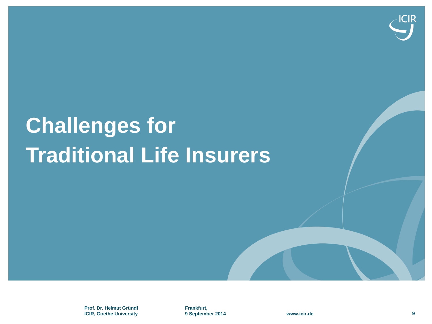

# **Challenges for Traditional Life Insurers**

**Prof. Dr. Helmut Gründl ICIR, Goethe University**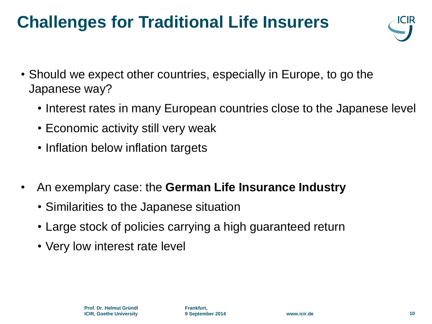### **Challenges for Traditional Life Insurers**



- Should we expect other countries, especially in Europe, to go the Japanese way?
	- Interest rates in many European countries close to the Japanese level
	- Economic activity still very weak
	- Inflation below inflation targets
- An exemplary case: the **German Life Insurance Industry**
	- Similarities to the Japanese situation
	- Large stock of policies carrying a high guaranteed return
	- Very low interest rate level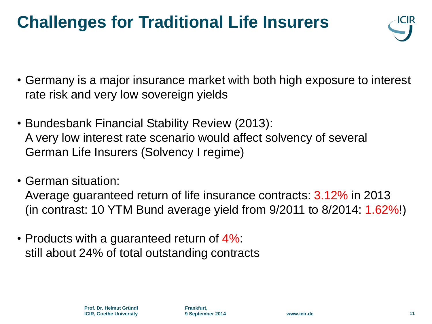### **Challenges for Traditional Life Insurers**



- Germany is a major insurance market with both high exposure to interest rate risk and very low sovereign yields
- Bundesbank Financial Stability Review (2013): A very low interest rate scenario would affect solvency of several German Life Insurers (Solvency I regime)
- German situation:

Average guaranteed return of life insurance contracts: 3.12% in 2013 (in contrast: 10 YTM Bund average yield from 9/2011 to 8/2014: 1.62%!)

• Products with a guaranteed return of 4%: still about 24% of total outstanding contracts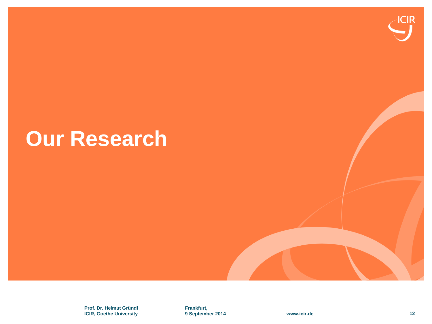# **Our Research**

**Prof. Dr. Helmut Gründl ICIR, Goethe University** **Frankfurt, 9 September 2014 www.icir.de 12**

**ICIR**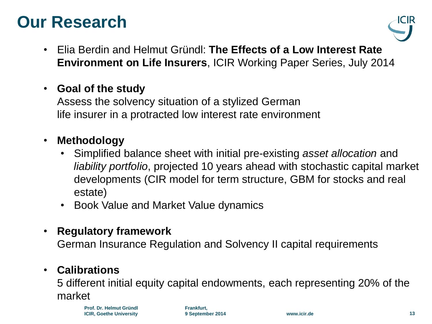### **Our Research**



- Elia Berdin and Helmut Gründl: **The Effects of a Low Interest Rate Environment on Life Insurers**, ICIR Working Paper Series, July 2014
- **Goal of the study**

Assess the solvency situation of a stylized German life insurer in a protracted low interest rate environment

- **Methodology**
	- Simplified balance sheet with initial pre-existing *asset allocation* and *liability portfolio*, projected 10 years ahead with stochastic capital market developments (CIR model for term structure, GBM for stocks and real estate)
	- Book Value and Market Value dynamics
- **Regulatory framework**

German Insurance Regulation and Solvency II capital requirements

#### • **Calibrations**

5 different initial equity capital endowments, each representing 20% of the market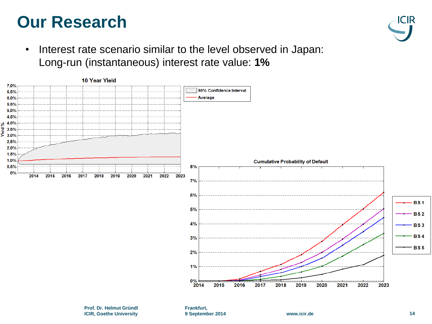### **Our Research**



• Interest rate scenario similar to the level observed in Japan: Long-run (instantaneous) interest rate value: **1%**

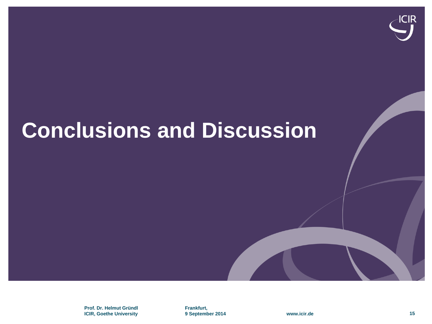

**Prof. Dr. Helmut Gründl ICIR, Goethe University**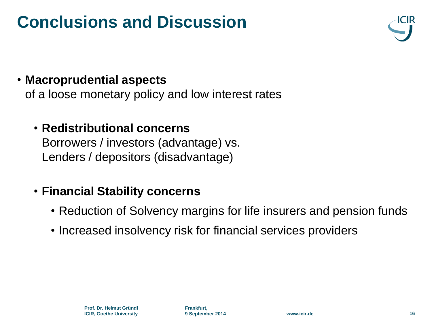#### • **Macroprudential aspects**

of a loose monetary policy and low interest rates

#### • **Redistributional concerns**

Borrowers / investors (advantage) vs. Lenders / depositors (disadvantage)

#### • **Financial Stability concerns**

- Reduction of Solvency margins for life insurers and pension funds
- Increased insolvency risk for financial services providers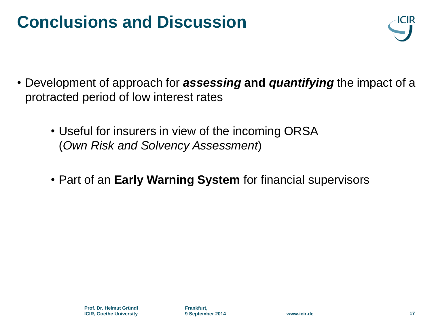

- Development of approach for *assessing* **and** *quantifying* the impact of a protracted period of low interest rates
	- Useful for insurers in view of the incoming ORSA (*Own Risk and Solvency Assessment*)
	- Part of an **Early Warning System** for financial supervisors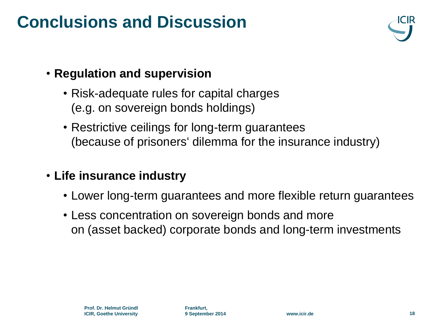

#### • **Regulation and supervision**

- Risk-adequate rules for capital charges (e.g. on sovereign bonds holdings)
- Restrictive ceilings for long-term guarantees (because of prisoners' dilemma for the insurance industry)

#### • **Life insurance industry**

- Lower long-term guarantees and more flexible return guarantees
- Less concentration on sovereign bonds and more on (asset backed) corporate bonds and long-term investments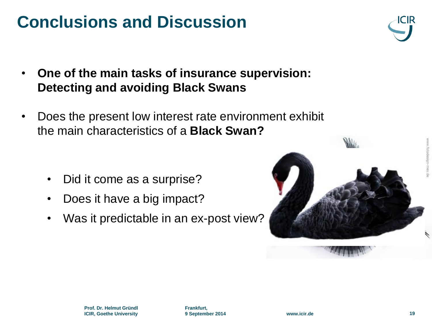

- **One of the main tasks of insurance supervision: Detecting and avoiding Black Swans**
- Does the present low interest rate environment exhibit the main characteristics of a **Black Swan?**

- Did it come as a surprise?
- Does it have a big impact?
- Was it predictable in an ex-post view?